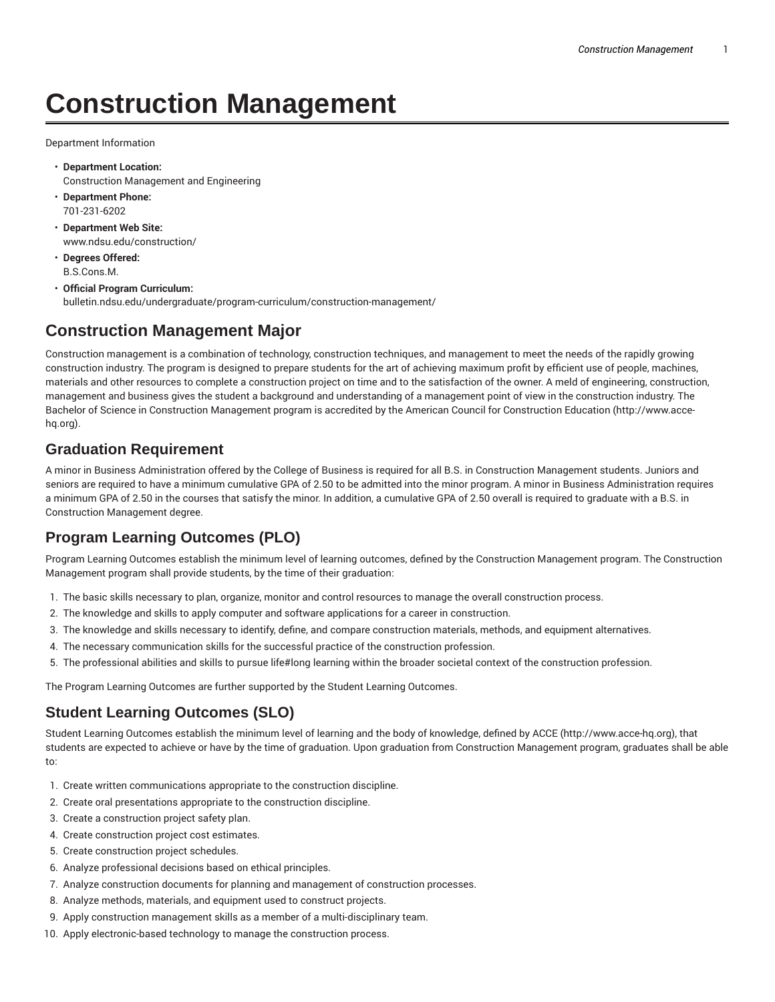# **Construction Management**

Department Information

- **Department Location:** Construction Management and Engineering
- **Department Phone:** 701-231-6202
- **Department Web Site:** www.ndsu.edu/construction/
- **Degrees Offered:** B.S.Cons.M.
- **Official Program Curriculum:** bulletin.ndsu.edu/undergraduate/program-curriculum/construction-management/

## **Construction Management Major**

Construction management is a combination of technology, construction techniques, and management to meet the needs of the rapidly growing construction industry. The program is designed to prepare students for the art of achieving maximum profit by efficient use of people, machines, materials and other resources to complete a construction project on time and to the satisfaction of the owner. A meld of engineering, construction, management and business gives the student a background and understanding of a management point of view in the construction industry. The Bachelor of Science in Construction Management program is accredited by the American Council for Construction Education (http://www.accehq.org).

### **Graduation Requirement**

A minor in Business Administration offered by the College of Business is required for all B.S. in Construction Management students. Juniors and seniors are required to have a minimum cumulative GPA of 2.50 to be admitted into the minor program. A minor in Business Administration requires a minimum GPA of 2.50 in the courses that satisfy the minor. In addition, a cumulative GPA of 2.50 overall is required to graduate with a B.S. in Construction Management degree.

# **Program Learning Outcomes (PLO)**

Program Learning Outcomes establish the minimum level of learning outcomes, defined by the Construction Management program. The Construction Management program shall provide students, by the time of their graduation:

- 1. The basic skills necessary to plan, organize, monitor and control resources to manage the overall construction process.
- 2. The knowledge and skills to apply computer and software applications for a career in construction.
- 3. The knowledge and skills necessary to identify, define, and compare construction materials, methods, and equipment alternatives.
- 4. The necessary communication skills for the successful practice of the construction profession.
- 5. The professional abilities and skills to pursue life#long learning within the broader societal context of the construction profession.

The Program Learning Outcomes are further supported by the Student Learning Outcomes.

### **Student Learning Outcomes (SLO)**

Student Learning Outcomes establish the minimum level of learning and the body of knowledge, defined by ACCE (http://www.acce-hq.org), that students are expected to achieve or have by the time of graduation. Upon graduation from Construction Management program, graduates shall be able to:

- 1. Create written communications appropriate to the construction discipline.
- 2. Create oral presentations appropriate to the construction discipline.
- 3. Create a construction project safety plan.
- 4. Create construction project cost estimates.
- 5. Create construction project schedules.
- 6. Analyze professional decisions based on ethical principles.
- 7. Analyze construction documents for planning and management of construction processes.
- 8. Analyze methods, materials, and equipment used to construct projects.
- 9. Apply construction management skills as a member of a multi-disciplinary team.
- 10. Apply electronic-based technology to manage the construction process.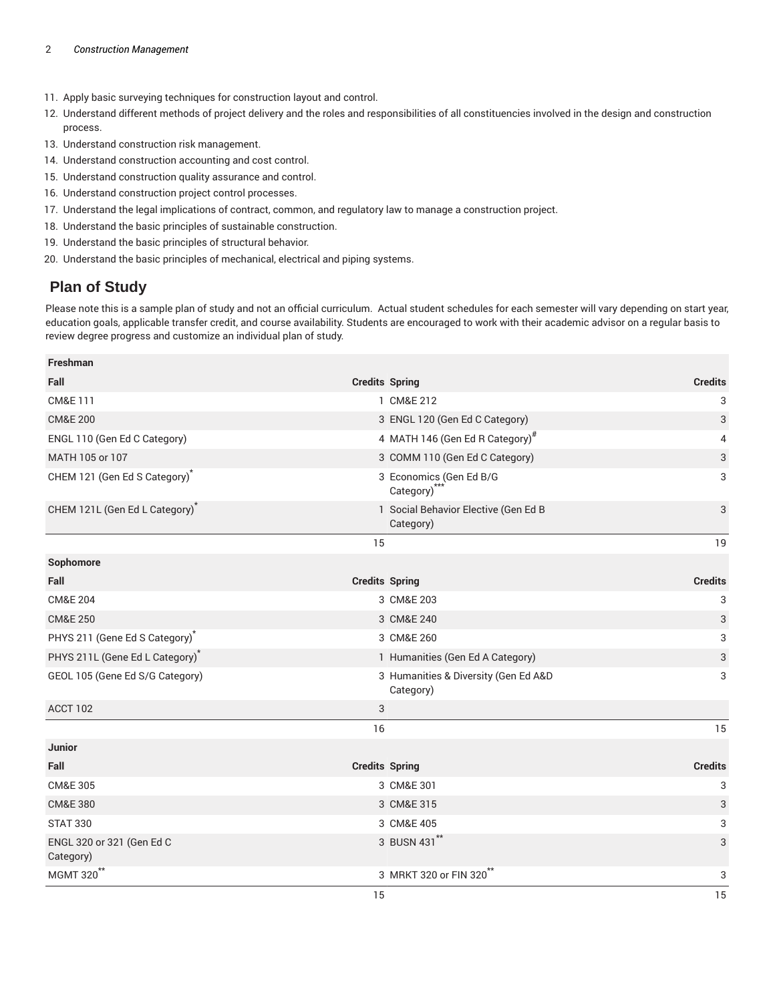- 11. Apply basic surveying techniques for construction layout and control.
- 12. Understand different methods of project delivery and the roles and responsibilities of all constituencies involved in the design and construction process.
- 13. Understand construction risk management.
- 14. Understand construction accounting and cost control.
- 15. Understand construction quality assurance and control.
- 16. Understand construction project control processes.
- 17. Understand the legal implications of contract, common, and regulatory law to manage a construction project.
- 18. Understand the basic principles of sustainable construction.
- 19. Understand the basic principles of structural behavior.
- 20. Understand the basic principles of mechanical, electrical and piping systems.

#### **Plan of Study**

Please note this is a sample plan of study and not an official curriculum. Actual student schedules for each semester will vary depending on start year, education goals, applicable transfer credit, and course availability. Students are encouraged to work with their academic advisor on a regular basis to review degree progress and customize an individual plan of study.

| Freshman                               |    |                                                     |                |
|----------------------------------------|----|-----------------------------------------------------|----------------|
| Fall                                   |    | <b>Credits Spring</b>                               | <b>Credits</b> |
| <b>CM&amp;E 111</b>                    |    | 1 CM&E 212                                          | 3              |
| <b>CM&amp;E 200</b>                    |    | 3 ENGL 120 (Gen Ed C Category)                      | 3              |
| ENGL 110 (Gen Ed C Category)           |    | 4 MATH 146 (Gen Ed R Category) <sup>#</sup>         | 4              |
| MATH 105 or 107                        |    | 3 COMM 110 (Gen Ed C Category)                      | 3              |
| CHEM 121 (Gen Ed S Category)           |    | 3 Economics (Gen Ed B/G<br>Category) <sup>***</sup> | 3              |
| CHEM 121L (Gen Ed L Category)          |    | 1 Social Behavior Elective (Gen Ed B<br>Category)   | 3              |
|                                        | 15 |                                                     | 19             |
| Sophomore                              |    |                                                     |                |
| Fall                                   |    | <b>Credits Spring</b>                               | <b>Credits</b> |
| <b>CM&amp;E 204</b>                    |    | 3 CM&E 203                                          | 3              |
| <b>CM&amp;E 250</b>                    |    | 3 CM&E 240                                          | 3              |
| PHYS 211 (Gene Ed S Category)          |    | 3 CM&E 260                                          | 3              |
| PHYS 211L (Gene Ed L Category)         |    | 1 Humanities (Gen Ed A Category)                    | 3              |
| GEOL 105 (Gene Ed S/G Category)        |    | 3 Humanities & Diversity (Gen Ed A&D<br>Category)   | 3              |
| ACCT 102                               | 3  |                                                     |                |
|                                        | 16 |                                                     | 15             |
| <b>Junior</b>                          |    |                                                     |                |
| Fall                                   |    | <b>Credits Spring</b>                               | <b>Credits</b> |
| <b>CM&amp;E 305</b>                    |    | 3 CM&E 301                                          | 3              |
| <b>CM&amp;E 380</b>                    |    | 3 CM&E 315                                          | 3              |
| <b>STAT 330</b>                        |    | 3 CM&E 405                                          | 3              |
| ENGL 320 or 321 (Gen Ed C<br>Category) |    | 3 BUSN 431**                                        | 3              |
| MGMT 320 <sup>**</sup>                 |    | 3 MRKT 320 or FIN 320 <sup>**</sup>                 | 3              |
|                                        | 15 |                                                     | 15             |